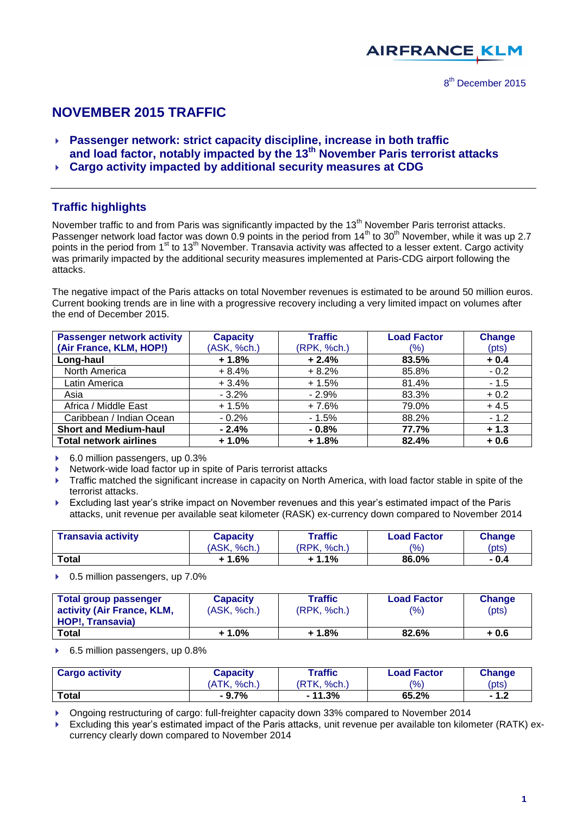

# **NOVEMBER 2015 TRAFFIC**

- **Passenger network: strict capacity discipline, increase in both traffic and load factor, notably impacted by the 13th November Paris terrorist attacks**
- **Cargo activity impacted by additional security measures at CDG**

## **Traffic highlights**

November traffic to and from Paris was significantly impacted by the 13<sup>th</sup> November Paris terrorist attacks. Passenger network load factor was down 0.9 points in the period from 14<sup>th</sup> to 30<sup>th</sup> November, while it was up 2.7 points in the period from 1<sup>st</sup> to 13<sup>th</sup> November. Transavia activity was affected to a lesser extent. Cargo activity was primarily impacted by the additional security measures implemented at Paris-CDG airport following the attacks.

The negative impact of the Paris attacks on total November revenues is estimated to be around 50 million euros. Current booking trends are in line with a progressive recovery including a very limited impact on volumes after the end of December 2015.

| <b>Passenger network activity</b> | <b>Capacity</b> | <b>Traffic</b> | <b>Load Factor</b> | <b>Change</b> |
|-----------------------------------|-----------------|----------------|--------------------|---------------|
| (Air France, KLM, HOP!)           | (ASK, %ch.)     | (RPK, %ch.)    | $(\% )$            | (pts)         |
| Long-haul                         | $+1.8%$         | $+2.4%$        | 83.5%              | $+0.4$        |
| North America                     | $+8.4%$         | $+8.2%$        | 85.8%              | $-0.2$        |
| Latin America                     | $+3.4%$         | $+1.5%$        | 81.4%              | $-1.5$        |
| Asia                              | $-3.2%$         | $-2.9%$        | 83.3%              | $+0.2$        |
| Africa / Middle East              | $+1.5%$         | $+7.6%$        | 79.0%              | $+4.5$        |
| Caribbean / Indian Ocean          | $-0.2%$         | $-1.5%$        | 88.2%              | $-1.2$        |
| <b>Short and Medium-haul</b>      | $-2.4%$         | $-0.8%$        | 77.7%              | $+1.3$        |
| <b>Total network airlines</b>     | $+1.0%$         | $+1.8%$        | 82.4%              | $+0.6$        |

- ▶ 6.0 million passengers, up 0.3%
- ▶ Network-wide load factor up in spite of Paris terrorist attacks
- ▶ Traffic matched the significant increase in capacity on North America, with load factor stable in spite of the terrorist attacks.
- Excluding last year's strike impact on November revenues and this year's estimated impact of the Paris attacks, unit revenue per available seat kilometer (RASK) ex-currency down compared to November 2014

| <b>Transavia activity</b> | Traffic<br>Capacity |             | <b>Load Factor</b> | <b>Change</b> |  |  |
|---------------------------|---------------------|-------------|--------------------|---------------|--|--|
|                           | (ASK, %ch.)         | (RPK, %ch.) | $\frac{10}{6}$     | (pts)         |  |  |
| <b>Total</b>              | $1.6\%$             | $+1.1\%$    | 86.0%              | - 0.4         |  |  |

▶ 0.5 million passengers, up 7.0%

| Total group passenger<br>activity (Air France, KLM,<br><b>HOP!, Transavia)</b> | <b>Capacity</b><br>(ASK, %ch.) | Traffic<br>(RPK, %ch.) | <b>Load Factor</b><br>$\frac{10}{6}$ | Change<br>(pts) |
|--------------------------------------------------------------------------------|--------------------------------|------------------------|--------------------------------------|-----------------|
| Total                                                                          | $+1.0%$                        | + 1.8%                 | 82.6%                                | + 0.6           |

▶ 6.5 million passengers, up 0.8%

| <b>Cargo activity</b> | <b>Capacity</b>   | Traffic          | <b>Load Factor</b> | <b>Change</b> |  |
|-----------------------|-------------------|------------------|--------------------|---------------|--|
|                       | (ATK.<br>$%$ ch., | (RTK.<br>$%$ ch. | $\frac{10}{6}$     | (pts)         |  |
| Total                 | $-9.7%$           | 11.3%            | 65.2%              | - 1.2         |  |

Ongoing restructuring of cargo: full-freighter capacity down 33% compared to November 2014

 Excluding this year's estimated impact of the Paris attacks, unit revenue per available ton kilometer (RATK) excurrency clearly down compared to November 2014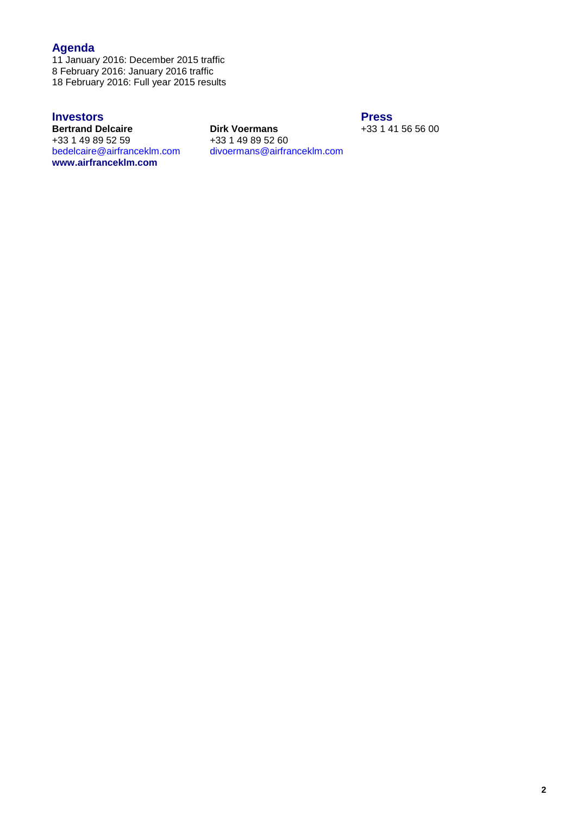## **Agenda**

11 January 2016: December 2015 traffic 8 February 2016: January 2016 traffic 18 February 2016: Full year 2015 results

 $+33$  1 49 89 52 59<br>bedelcaire@airfranceklm.com **[www.airfranceklm.com](http://www.airfranceklm.com/)**

**Investors**<br> **Press**<br> **Dirk Voermans**<br> **Press**<br>  $+3314$ **Birk Voermans** +33 1 41 56 56 00<br>+33 1 49 89 52 60 [bedelcaire@airfranceklm.com](mailto:bedelcaire@airfranceklm.com) divoermans@airfranceklm.com Website: **[www.airfranceklm-finance.com](http://www.airfranceklm-finance.com/)**